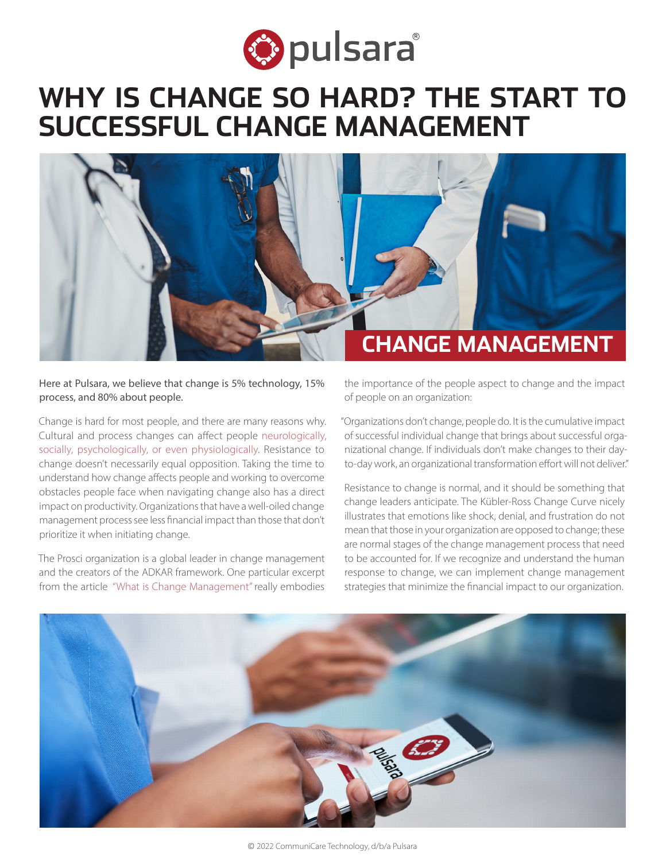

# **WHY IS CHANGE SO HARD? THE START TO SUCCESSFUL CHANGE MANAGEMENT**



#### Here at Pulsara, we believe that change is 5% technology, 15% process, and 80% about people.

Change is hard for most people, and there are many reasons why. Cultural and process changes can affect people [neurologically,](https://bethechangeasph.com/the-human-side-of-change/why-do-we-resist-change/) [socially, psychologically, or even physiologically](https://bethechangeasph.com/the-human-side-of-change/why-do-we-resist-change/). Resistance to change doesn't necessarily equal opposition. Taking the time to understand how change affects people and working to overcome obstacles people face when navigating change also has a direct impact on productivity. Organizations that have a well-oiled change management process see less financial impact than those that don't prioritize it when initiating change.

The Prosci organization is a global leader in change management and the creators of the ADKAR framework. One particular excerpt from the article ["What is Change Management" r](https://www.prosci.com/change-management)eally embodies

#### the importance of the people aspect to change and the impact of people on an organization:

"Organizations don't change, people do. It is the cumulative impact of successful individual change that brings about successful organizational change. If individuals don't make changes to their dayto-day work, an organizational transformation effort will not deliver."

Resistance to change is normal, and it should be something that change leaders anticipate. The Kübler-Ross Change Curve nicely illustrates that emotions like shock, denial, and frustration do not mean that those in your organization are opposed to change; these are normal stages of the change management process that need to be accounted for. If we recognize and understand the human response to change, we can implement change management strategies that minimize the financial impact to our organization.



© 2022 CommuniCare Technology, d/b/a Pulsara